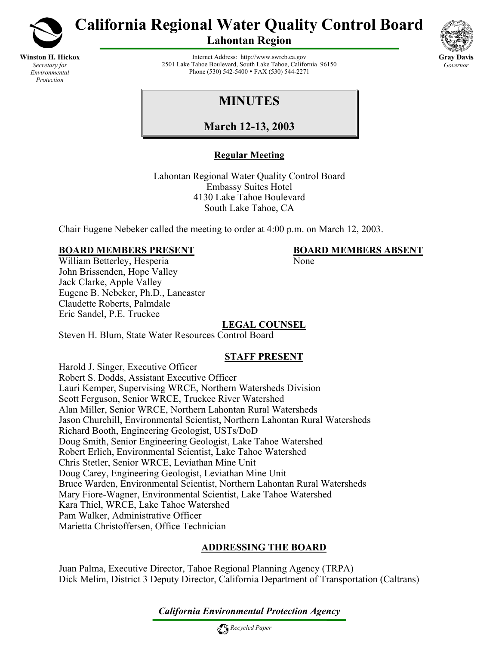

**Winston H. Hickox** *Secretary for Environmental Protection*

**California Regional Water Quality Control Board** 

**Lahontan Region** 

**Gray Davis** *Governor* 

Internet Address: [http://www.swrcb.ca.gov](http://www.swrcb.ca.gov/rwqcb6) 2501 Lake Tahoe Boulevard, South Lake Tahoe, California 96150 Phone (530) 542-5400 • FAX (530) 544-2271

# **MINUTES**

**March 12-13, 2003**

# **Regular Meeting**

Lahontan Regional Water Quality Control Board Embassy Suites Hotel 4130 Lake Tahoe Boulevard South Lake Tahoe, CA

Chair Eugene Nebeker called the meeting to order at 4:00 p.m. on March 12, 2003.

# **BOARD MEMBERS PRESENT BOARD MEMBERS ABSENT**

William Betterley, Hesperia None John Brissenden, Hope Valley Jack Clarke, Apple Valley Eugene B. Nebeker, Ph.D., Lancaster Claudette Roberts, Palmdale Eric Sandel, P.E. Truckee

# **LEGAL COUNSEL**

Steven H. Blum, State Water Resources Control Board

# **STAFF PRESENT**

Harold J. Singer, Executive Officer Robert S. Dodds, Assistant Executive Officer Lauri Kemper, Supervising WRCE, Northern Watersheds Division Scott Ferguson, Senior WRCE, Truckee River Watershed Alan Miller, Senior WRCE, Northern Lahontan Rural Watersheds Jason Churchill, Environmental Scientist, Northern Lahontan Rural Watersheds Richard Booth, Engineering Geologist, USTs/DoD Doug Smith, Senior Engineering Geologist, Lake Tahoe Watershed Robert Erlich, Environmental Scientist, Lake Tahoe Watershed Chris Stetler, Senior WRCE, Leviathan Mine Unit Doug Carey, Engineering Geologist, Leviathan Mine Unit Bruce Warden, Environmental Scientist, Northern Lahontan Rural Watersheds Mary Fiore-Wagner, Environmental Scientist, Lake Tahoe Watershed Kara Thiel, WRCE, Lake Tahoe Watershed Pam Walker, Administrative Officer Marietta Christoffersen, Office Technician

# **ADDRESSING THE BOARD**

Juan Palma, Executive Director, Tahoe Regional Planning Agency (TRPA) Dick Melim, District 3 Deputy Director, California Department of Transportation (Caltrans)

# *California Environmental Protection Agency*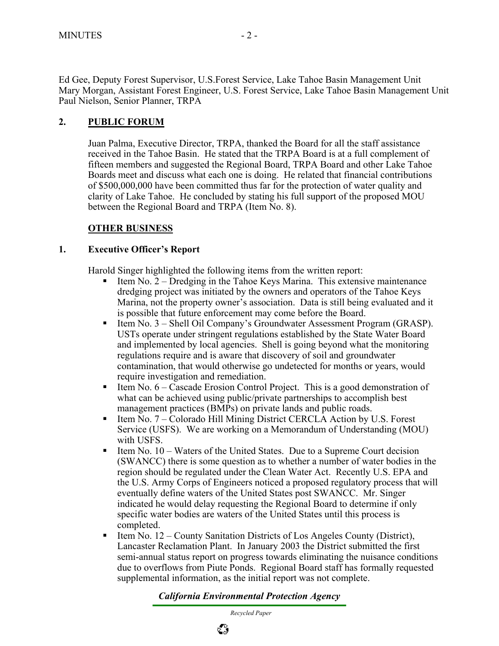Ed Gee, Deputy Forest Supervisor, U.S.Forest Service, Lake Tahoe Basin Management Unit Mary Morgan, Assistant Forest Engineer, U.S. Forest Service, Lake Tahoe Basin Management Unit Paul Nielson, Senior Planner, TRPA

# **2. PUBLIC FORUM**

Juan Palma, Executive Director, TRPA, thanked the Board for all the staff assistance received in the Tahoe Basin. He stated that the TRPA Board is at a full complement of fifteen members and suggested the Regional Board, TRPA Board and other Lake Tahoe Boards meet and discuss what each one is doing. He related that financial contributions of \$500,000,000 have been committed thus far for the protection of water quality and clarity of Lake Tahoe. He concluded by stating his full support of the proposed MOU between the Regional Board and TRPA (Item No. 8).

## **OTHER BUSINESS**

#### **1. Executive Officer's Report**

Harold Singer highlighted the following items from the written report:

- Item No.  $2 D$  redging in the Tahoe Keys Marina. This extensive maintenance dredging project was initiated by the owners and operators of the Tahoe Keys Marina, not the property owner's association. Data is still being evaluated and it is possible that future enforcement may come before the Board.
- Item No.  $3$  Shell Oil Company's Groundwater Assessment Program (GRASP). USTs operate under stringent regulations established by the State Water Board and implemented by local agencies. Shell is going beyond what the monitoring regulations require and is aware that discovery of soil and groundwater contamination, that would otherwise go undetected for months or years, would require investigation and remediation.
- Item No.  $6 -$ Cascade Erosion Control Project. This is a good demonstration of what can be achieved using public/private partnerships to accomplish best management practices (BMPs) on private lands and public roads.
- Item  $\overline{N}$  Colorado Hill Mining District CERCLA Action by U.S. Forest Service (USFS). We are working on a Memorandum of Understanding (MOU) with USFS.
- Item No.  $10 W$  aters of the United States. Due to a Supreme Court decision (SWANCC) there is some question as to whether a number of water bodies in the region should be regulated under the Clean Water Act. Recently U.S. EPA and the U.S. Army Corps of Engineers noticed a proposed regulatory process that will eventually define waters of the United States post SWANCC. Mr. Singer indicated he would delay requesting the Regional Board to determine if only specific water bodies are waters of the United States until this process is completed.
- $\blacksquare$  Item No. 12 County Sanitation Districts of Los Angeles County (District), Lancaster Reclamation Plant. In January 2003 the District submitted the first semi-annual status report on progress towards eliminating the nuisance conditions due to overflows from Piute Ponds. Regional Board staff has formally requested supplemental information, as the initial report was not complete.

## *California Environmental Protection Agency*

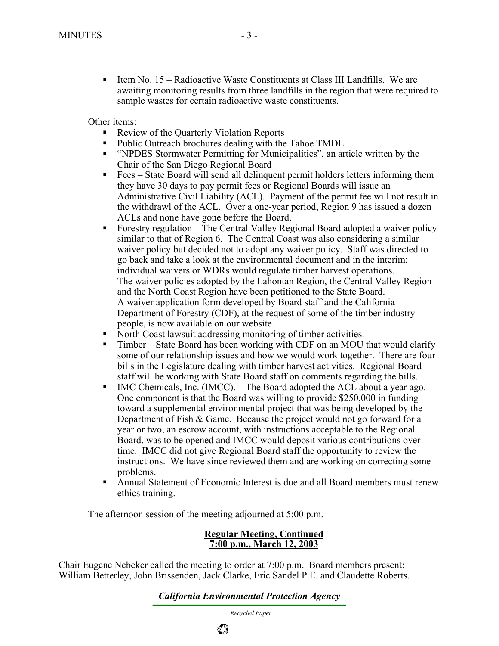■ Item No. 15 – Radioactive Waste Constituents at Class III Landfills. We are awaiting monitoring results from three landfills in the region that were required to sample wastes for certain radioactive waste constituents.

Other items:

- Review of the Quarterly Violation Reports
- Public Outreach brochures dealing with the Tahoe TMDL
- "NPDES Stormwater Permitting for Municipalities", an article written by the Chair of the San Diego Regional Board
- Fees State Board will send all delinquent permit holders letters informing them they have 30 days to pay permit fees or Regional Boards will issue an Administrative Civil Liability (ACL). Payment of the permit fee will not result in the withdrawl of the ACL. Over a one-year period, Region 9 has issued a dozen ACLs and none have gone before the Board.
- Forestry regulation The Central Valley Regional Board adopted a waiver policy similar to that of Region 6. The Central Coast was also considering a similar waiver policy but decided not to adopt any waiver policy. Staff was directed to go back and take a look at the environmental document and in the interim; individual waivers or WDRs would regulate timber harvest operations. The waiver policies adopted by the Lahontan Region, the Central Valley Region and the North Coast Region have been petitioned to the State Board. A waiver application form developed by Board staff and the California Department of Forestry (CDF), at the request of some of the timber industry people, is now available on our website.
- North Coast lawsuit addressing monitoring of timber activities.
- Timber State Board has been working with CDF on an MOU that would clarify some of our relationship issues and how we would work together. There are four bills in the Legislature dealing with timber harvest activities. Regional Board staff will be working with State Board staff on comments regarding the bills.
- $\blacksquare$  IMC Chemicals, Inc. (IMCC). The Board adopted the ACL about a year ago. One component is that the Board was willing to provide \$250,000 in funding toward a supplemental environmental project that was being developed by the Department of Fish & Game. Because the project would not go forward for a year or two, an escrow account, with instructions acceptable to the Regional Board, was to be opened and IMCC would deposit various contributions over time. IMCC did not give Regional Board staff the opportunity to review the instructions. We have since reviewed them and are working on correcting some problems.
- Annual Statement of Economic Interest is due and all Board members must renew ethics training.

The afternoon session of the meeting adjourned at 5:00 p.m.

#### **Regular Meeting, Continued 7:00 p.m., March 12, 2003**

Chair Eugene Nebeker called the meeting to order at 7:00 p.m. Board members present: William Betterley, John Brissenden, Jack Clarke, Eric Sandel P.E. and Claudette Roberts.

ई है

*California Environmental Protection Agency*

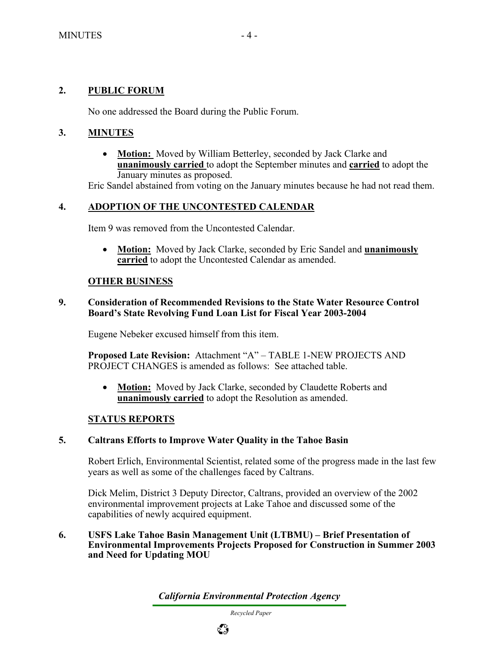## **2. PUBLIC FORUM**

No one addressed the Board during the Public Forum.

## **3. MINUTES**

• **Motion:** Moved by William Betterley, seconded by Jack Clarke and **unanimously carried** to adopt the September minutes and **carried** to adopt the January minutes as proposed.

Eric Sandel abstained from voting on the January minutes because he had not read them.

## **4. ADOPTION OF THE UNCONTESTED CALENDAR**

Item 9 was removed from the Uncontested Calendar.

• **Motion:** Moved by Jack Clarke, seconded by Eric Sandel and **unanimously carried** to adopt the Uncontested Calendar as amended.

#### **OTHER BUSINESS**

#### **9. Consideration of Recommended Revisions to the State Water Resource Control Board's State Revolving Fund Loan List for Fiscal Year 2003-2004**

Eugene Nebeker excused himself from this item.

**Proposed Late Revision:** Attachment "A" – TABLE 1-NEW PROJECTS AND PROJECT CHANGES is amended as follows: See attached table.

• **Motion:** Moved by Jack Clarke, seconded by Claudette Roberts and **unanimously carried** to adopt the Resolution as amended.

## **STATUS REPORTS**

#### **5. Caltrans Efforts to Improve Water Quality in the Tahoe Basin**

Robert Erlich, Environmental Scientist, related some of the progress made in the last few years as well as some of the challenges faced by Caltrans.

Dick Melim, District 3 Deputy Director, Caltrans, provided an overview of the 2002 environmental improvement projects at Lake Tahoe and discussed some of the capabilities of newly acquired equipment.

**6. USFS Lake Tahoe Basin Management Unit (LTBMU) – Brief Presentation of Environmental Improvements Projects Proposed for Construction in Summer 2003 and Need for Updating MOU** 

*California Environmental Protection Agency*

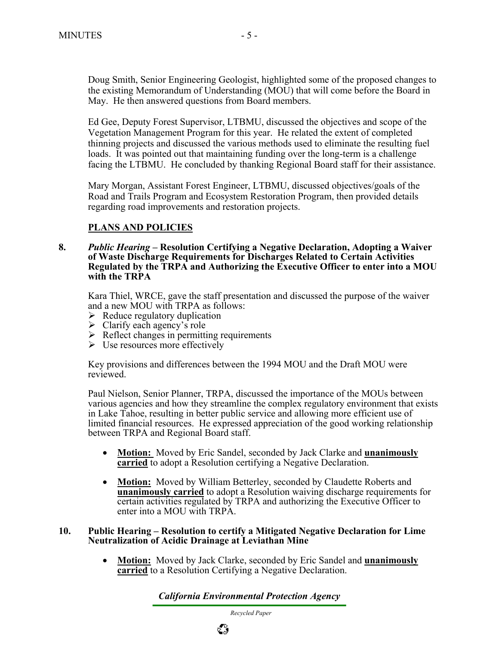Doug Smith, Senior Engineering Geologist, highlighted some of the proposed changes to the existing Memorandum of Understanding (MOU) that will come before the Board in May. He then answered questions from Board members.

Ed Gee, Deputy Forest Supervisor, LTBMU, discussed the objectives and scope of the Vegetation Management Program for this year. He related the extent of completed thinning projects and discussed the various methods used to eliminate the resulting fuel loads. It was pointed out that maintaining funding over the long-term is a challenge facing the LTBMU. He concluded by thanking Regional Board staff for their assistance.

Mary Morgan, Assistant Forest Engineer, LTBMU, discussed objectives/goals of the Road and Trails Program and Ecosystem Restoration Program, then provided details regarding road improvements and restoration projects.

## **PLANS AND POLICIES**

**8.** *Public Hearing* **– Resolution Certifying a Negative Declaration, Adopting a Waiver of Waste Discharge Requirements for Discharges Related to Certain Activities Regulated by the TRPA and Authorizing the Executive Officer to enter into a MOU with the TRPA** 

Kara Thiel, WRCE, gave the staff presentation and discussed the purpose of the waiver and a new MOU with TRPA as follows:

- $\triangleright$  Reduce regulatory duplication
- $\triangleright$  Clarify each agency's role
- $\triangleright$  Reflect changes in permitting requirements
- $\triangleright$  Use resources more effectively

Key provisions and differences between the 1994 MOU and the Draft MOU were reviewed.

Paul Nielson, Senior Planner, TRPA, discussed the importance of the MOUs between various agencies and how they streamline the complex regulatory environment that exists in Lake Tahoe, resulting in better public service and allowing more efficient use of limited financial resources. He expressed appreciation of the good working relationship between TRPA and Regional Board staff.

- **Motion:** Moved by Eric Sandel, seconded by Jack Clarke and **unanimously carried** to adopt a Resolution certifying a Negative Declaration.
- **Motion:** Moved by William Betterley, seconded by Claudette Roberts and **unanimously carried** to adopt a Resolution waiving discharge requirements for certain activities regulated by TRPA and authorizing the Executive Officer to enter into a MOU with TRPA.

#### **10. Public Hearing – Resolution to certify a Mitigated Negative Declaration for Lime Neutralization of Acidic Drainage at Leviathan Mine**

• **Motion:** Moved by Jack Clarke, seconded by Eric Sandel and **unanimously carried** to a Resolution Certifying a Negative Declaration.

*California Environmental Protection Agency*